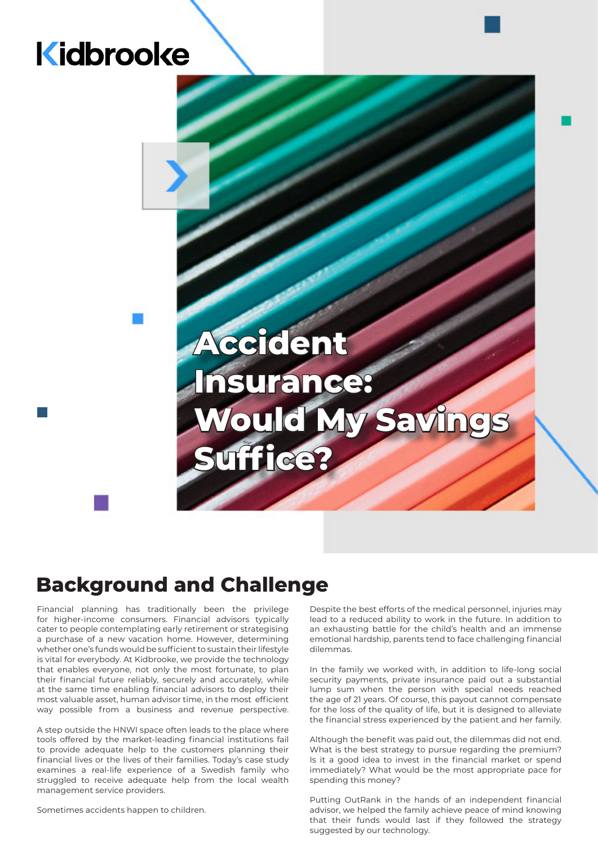## Kidbrooke

# **Accident Insurance:**  Would My Savi **Suffice?**

### **Background and Challenge**

Financial planning has traditionally been the privilege for higher-income consumers. Financial advisors typically cater to people contemplating early retirement or strategising a purchase of a new vacation home. However, determining whether one's funds would be sufficient to sustain their lifestyle is vital for everybody. At Kidbrooke, we provide the technology that enables everyone, not only the most fortunate, to plan their financial future reliably, securely and accurately, while at the same time enabling financial advisors to deploy their most valuable asset, human advisor time, in the most efficient way possible from a business and revenue perspective.

A step outside the HNWI space often leads to the place where tools offered by the market-leading financial institutions fail to provide adequate help to the customers planning their financial lives or the lives of their families. Today's case study examines a real-life experience of a Swedish family who struggled to receive adequate help from the local wealth management service providers.

Sometimes accidents happen to children.

Despite the best efforts of the medical personnel, injuries may lead to a reduced ability to work in the future. In addition to an exhausting battle for the child's health and an immense emotional hardship, parents tend to face challenging financial dilemmas.

In the family we worked with, in addition to life-long social security payments, private insurance paid out a substantial lump sum when the person with special needs reached the age of 21 years. Of course, this payout cannot compensate for the loss of the quality of life, but it is designed to alleviate the financial stress experienced by the patient and her family.

Although the benefit was paid out, the dilemmas did not end. What is the best strategy to pursue regarding the premium? Is it a good idea to invest in the financial market or spend immediately? What would be the most appropriate pace for spending this money?

Putting OutRank in the hands of an independent financial advisor, we helped the family achieve peace of mind knowing that their funds would last if they followed the strategy suggested by our technology.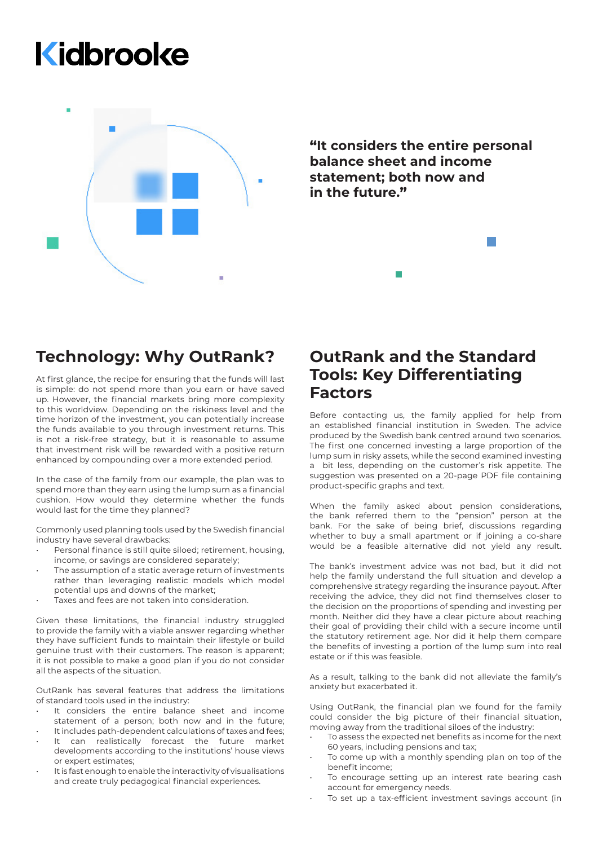# Kidbrooke



**"It considers the entire personal balance sheet and income statement; both now and in the future."**

### **Technology: Why OutRank?**

At first glance, the recipe for ensuring that the funds will last is simple: do not spend more than you earn or have saved up. However, the financial markets bring more complexity to this worldview. Depending on the riskiness level and the time horizon of the investment, you can potentially increase the funds available to you through investment returns. This is not a risk-free strategy, but it is reasonable to assume that investment risk will be rewarded with a positive return enhanced by compounding over a more extended period.

In the case of the family from our example, the plan was to spend more than they earn using the lump sum as a financial cushion. How would they determine whether the funds would last for the time they planned?

Commonly used planning tools used by the Swedish financial industry have several drawbacks:

- Personal finance is still quite siloed; retirement, housing, income, or savings are considered separately;
- The assumption of a static average return of investments rather than leveraging realistic models which model potential ups and downs of the market;
- Taxes and fees are not taken into consideration.

Given these limitations, the financial industry struggled to provide the family with a viable answer regarding whether they have sufficient funds to maintain their lifestyle or build genuine trust with their customers. The reason is apparent; it is not possible to make a good plan if you do not consider all the aspects of the situation.

OutRank has several features that address the limitations of standard tools used in the industry:

- It considers the entire balance sheet and income statement of a person; both now and in the future;
- It includes path-dependent calculations of taxes and fees; It can realistically forecast the future market
- developments according to the institutions' house views or expert estimates;
- It is fast enough to enable the interactivity of visualisations and create truly pedagogical financial experiences.

#### **OutRank and the Standard Tools: Key Differentiating Factors**

Before contacting us, the family applied for help from an established financial institution in Sweden. The advice produced by the Swedish bank centred around two scenarios. The first one concerned investing a large proportion of the lump sum in risky assets, while the second examined investing a bit less, depending on the customer's risk appetite. The suggestion was presented on a 20-page PDF file containing product-specific graphs and text.

When the family asked about pension considerations, the bank referred them to the "pension" person at the bank. For the sake of being brief, discussions regarding whether to buy a small apartment or if joining a co-share would be a feasible alternative did not yield any result.

The bank's investment advice was not bad, but it did not help the family understand the full situation and develop a comprehensive strategy regarding the insurance payout. After receiving the advice, they did not find themselves closer to the decision on the proportions of spending and investing per month. Neither did they have a clear picture about reaching their goal of providing their child with a secure income until the statutory retirement age. Nor did it help them compare the benefits of investing a portion of the lump sum into real estate or if this was feasible.

As a result, talking to the bank did not alleviate the family's anxiety but exacerbated it.

Using OutRank, the financial plan we found for the family could consider the big picture of their financial situation, moving away from the traditional siloes of the industry:

- To assess the expected net benefits as income for the next 60 years, including pensions and tax;
- To come up with a monthly spending plan on top of the benefit income;
- To encourage setting up an interest rate bearing cash account for emergency needs.
- To set up a tax-efficient investment savings account (in